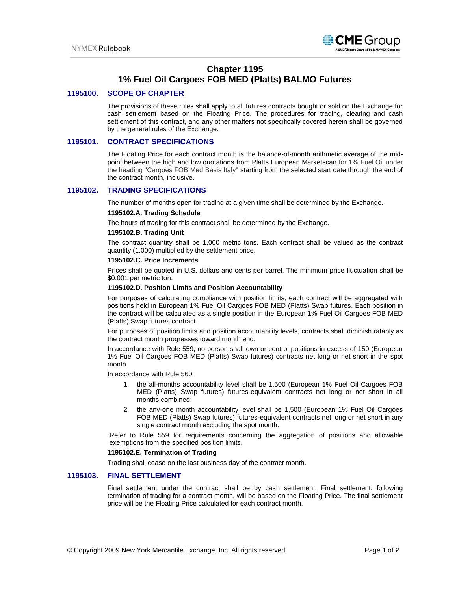

# **Chapter 1195 1% Fuel Oil Cargoes FOB MED (Platts) BALMO Futures**

## **1195100. SCOPE OF CHAPTER**

The provisions of these rules shall apply to all futures contracts bought or sold on the Exchange for cash settlement based on the Floating Price. The procedures for trading, clearing and cash settlement of this contract, and any other matters not specifically covered herein shall be governed by the general rules of the Exchange.

## **1195101. CONTRACT SPECIFICATIONS**

The Floating Price for each contract month is the balance-of-month arithmetic average of the midpoint between the high and low quotations from Platts European Marketscan for 1% Fuel Oil under the heading "Cargoes FOB Med Basis Italy" starting from the selected start date through the end of the contract month, inclusive.

## **1195102. TRADING SPECIFICATIONS**

The number of months open for trading at a given time shall be determined by the Exchange.

#### **1195102.A. Trading Schedule**

The hours of trading for this contract shall be determined by the Exchange.

### **1195102.B. Trading Unit**

The contract quantity shall be 1,000 metric tons. Each contract shall be valued as the contract quantity (1,000) multiplied by the settlement price.

#### **1195102.C. Price Increments**

Prices shall be quoted in U.S. dollars and cents per barrel. The minimum price fluctuation shall be \$0.001 per metric ton.

#### **1195102.D. Position Limits and Position Accountability**

For purposes of calculating compliance with position limits, each contract will be aggregated with positions held in European 1% Fuel Oil Cargoes FOB MED (Platts) Swap futures. Each position in the contract will be calculated as a single position in the European 1% Fuel Oil Cargoes FOB MED (Platts) Swap futures contract.

For purposes of position limits and position accountability levels, contracts shall diminish ratably as the contract month progresses toward month end.

In accordance with Rule 559, no person shall own or control positions in excess of 150 (European 1% Fuel Oil Cargoes FOB MED (Platts) Swap futures) contracts net long or net short in the spot month.

In accordance with Rule 560:

- 1. the all-months accountability level shall be 1,500 (European 1% Fuel Oil Cargoes FOB MED (Platts) Swap futures) futures-equivalent contracts net long or net short in all months combined;
- 2. the any-one month accountability level shall be 1,500 (European 1% Fuel Oil Cargoes FOB MED (Platts) Swap futures) futures-equivalent contracts net long or net short in any single contract month excluding the spot month.

Refer to Rule 559 for requirements concerning the aggregation of positions and allowable exemptions from the specified position limits.

## **1195102.E. Termination of Trading**

Trading shall cease on the last business day of the contract month.

## **1195103. FINAL SETTLEMENT**

Final settlement under the contract shall be by cash settlement. Final settlement, following termination of trading for a contract month, will be based on the Floating Price. The final settlement price will be the Floating Price calculated for each contract month.